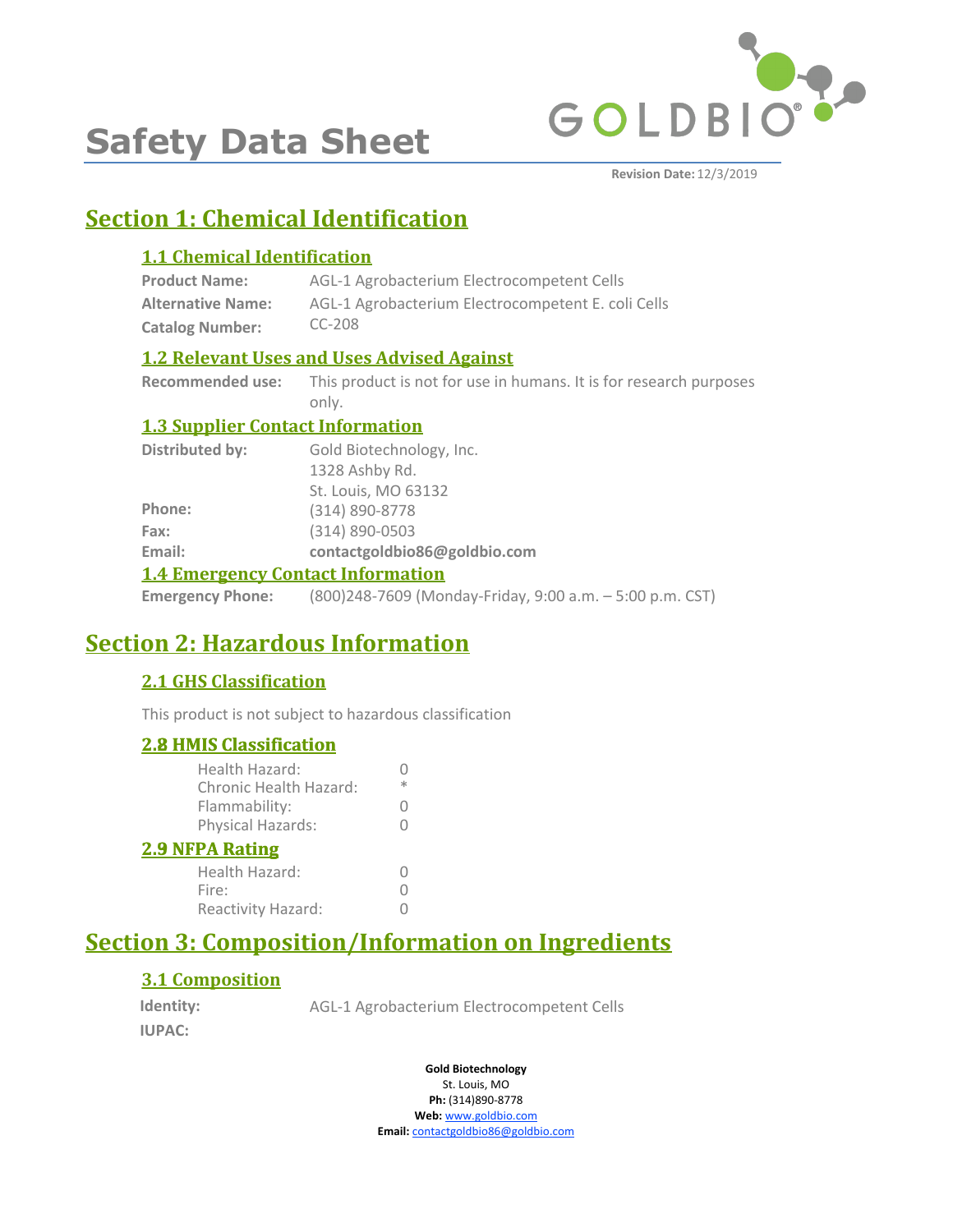

# **Safety Data Sheet**

**Revision Date:** 12/3/2019

# **Section 1: Chemical Identification**

# **1.1 Chemical Identification**

| <b>Product Name:</b>     | AGL-1 Agrobacterium Electrocompetent Cells         |
|--------------------------|----------------------------------------------------|
| <b>Alternative Name:</b> | AGL-1 Agrobacterium Electrocompetent E. coli Cells |
| <b>Catalog Number:</b>   | $CC-208$                                           |

# **1.2 Relevant Uses and Uses Advised Against**

**Recommended use:** This product is not for use in humans. It is for research purposes only.

# **1.3 Supplier Contact Information**

| <b>1.4 Emergency Contact Information</b> |                              |  |
|------------------------------------------|------------------------------|--|
| Email:                                   | contactgoldbio86@goldbio.com |  |
| Fax:                                     | $(314) 890 - 0503$           |  |
| Phone:                                   | (314) 890-8778               |  |
|                                          | St. Louis, MO 63132          |  |
|                                          | 1328 Ashby Rd.               |  |
| Distributed by:                          | Gold Biotechnology, Inc.     |  |

**Emergency Phone:** (800)248-7609 (Monday-Friday, 9:00 a.m. – 5:00 p.m. CST)

# **Section 2: Hazardous Information**

# **2.1 GHS Classification**

This product is not subject to hazardous classification

# **2.8 HMIS Classification**

| <u><b>2.8 HMIS Classification</b></u>           |   |
|-------------------------------------------------|---|
| Health Hazard:<br><b>Chronic Health Hazard:</b> | ж |
| Flammability:                                   | 0 |
| Physical Hazards:                               |   |
| <b>2.9 NFPA Rating</b>                          |   |
| Health Hazard:                                  |   |
| Fire:                                           |   |
| Reactivity Hazard:                              |   |
|                                                 |   |

# **Section 3: Composition/Information on Ingredients**

# **3.1 Composition**

**Identity: IUPAC:**

AGL-1 Agrobacterium Electrocompetent Cells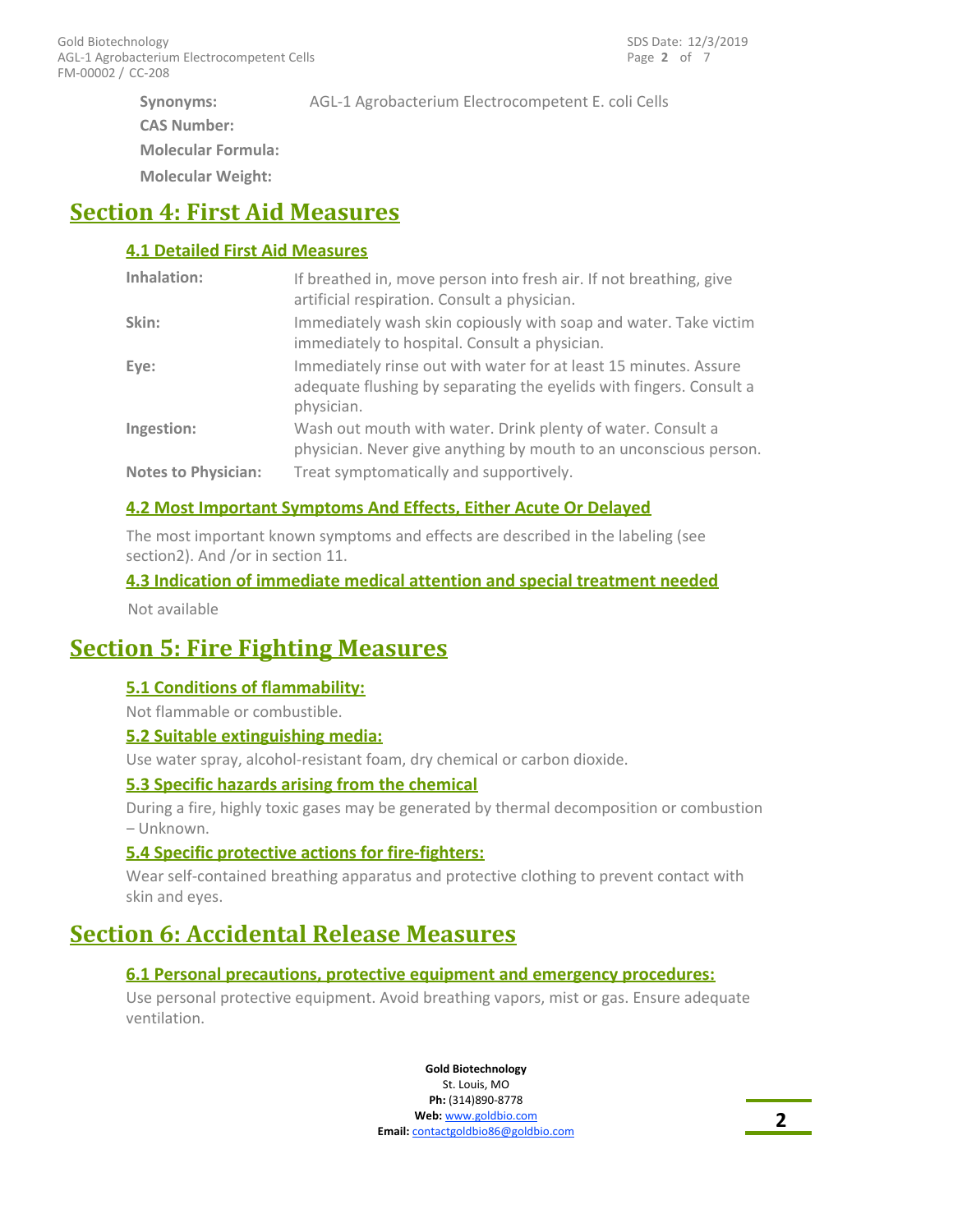**Synonyms: CAS Number: Molecular Formula:**

**Molecular Weight:**

# **Section 4: First Aid Measures**

# **4.1 Detailed First Aid Measures**

| Inhalation:                | If breathed in, move person into fresh air. If not breathing, give<br>artificial respiration. Consult a physician.                                    |
|----------------------------|-------------------------------------------------------------------------------------------------------------------------------------------------------|
| Skin:                      | Immediately wash skin copiously with soap and water. Take victim<br>immediately to hospital. Consult a physician.                                     |
| Eye:                       | Immediately rinse out with water for at least 15 minutes. Assure<br>adequate flushing by separating the eyelids with fingers. Consult a<br>physician. |
| Ingestion:                 | Wash out mouth with water. Drink plenty of water. Consult a<br>physician. Never give anything by mouth to an unconscious person.                      |
| <b>Notes to Physician:</b> | Treat symptomatically and supportively.                                                                                                               |

AGL-1 Agrobacterium Electrocompetent E. coli Cells

# **4.2 Most Important Symptoms And Effects, Either Acute Or Delayed**

The most important known symptoms and effects are described in the labeling (see section2). And /or in section 11.

# **4.3 Indication of immediate medical attention and special treatment needed**

Not available

# **Section 5: Fire Fighting Measures**

# **5.1 Conditions of flammability:**

Not flammable or combustible.

### **5.2 Suitable extinguishing media:**

Use water spray, alcohol-resistant foam, dry chemical or carbon dioxide.

### **5.3 Specific hazards arising from the chemical**

During a fire, highly toxic gases may be generated by thermal decomposition or combustion – Unknown.

### **5.4 Specific protective actions for fire-fighters:**

Wear self-contained breathing apparatus and protective clothing to prevent contact with skin and eyes.

# **Section 6: Accidental Release Measures**

# **6.1 Personal precautions, protective equipment and emergency procedures:**

Use personal protective equipment. Avoid breathing vapors, mist or gas. Ensure adequate ventilation.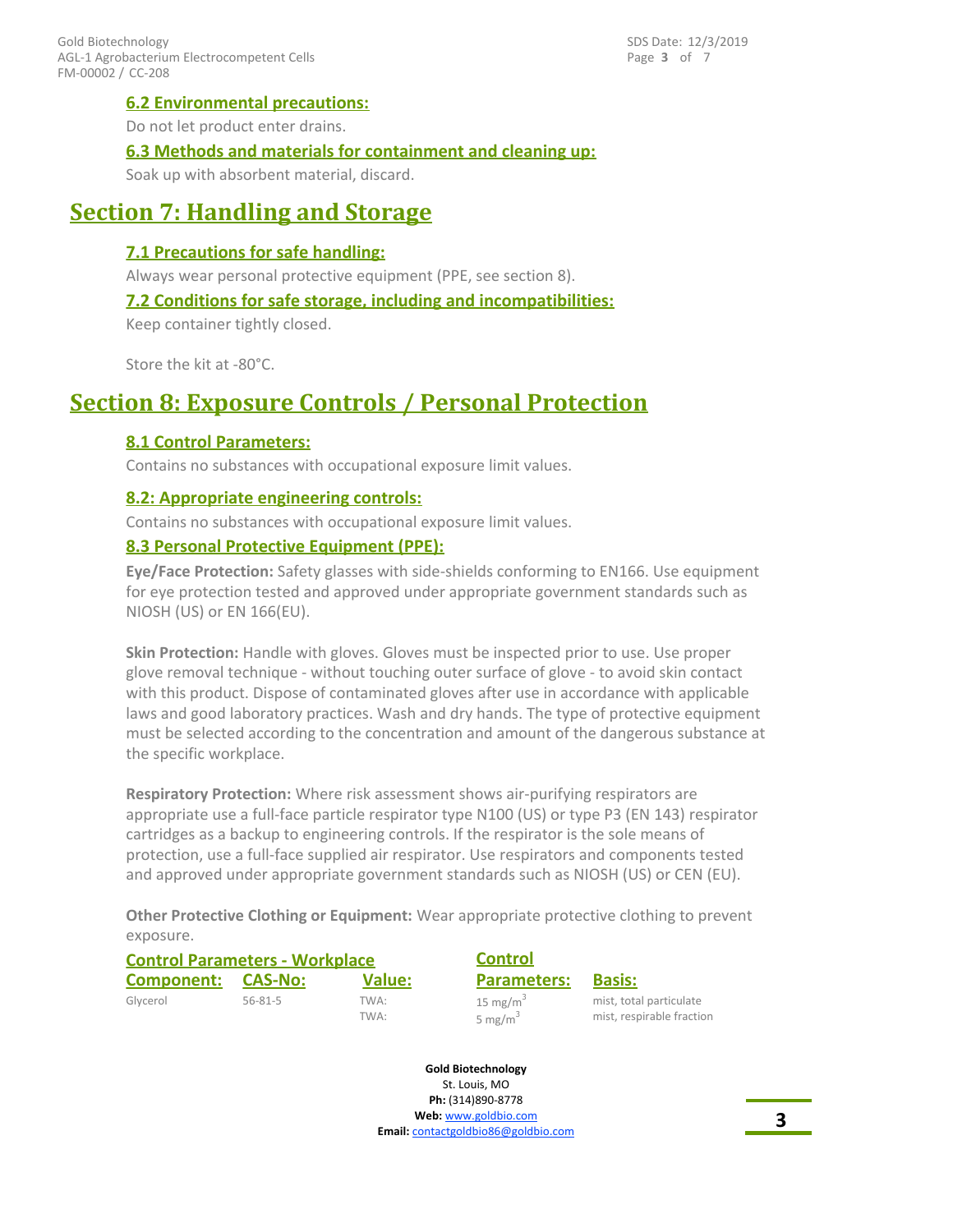# **6.2 Environmental precautions:**

Do not let product enter drains.

### **6.3 Methods and materials for containment and cleaning up:**

Soak up with absorbent material, discard.

# **Section 7: Handling and Storage**

### **7.1 Precautions for safe handling:**

Always wear personal protective equipment (PPE, see section 8).

#### **7.2 Conditions for safe storage, including and incompatibilities:**

Keep container tightly closed.

Store the kit at -80°C.

# **Section 8: Exposure Controls / Personal Protection**

### **8.1 Control Parameters:**

Contains no substances with occupational exposure limit values.

### **8.2: Appropriate engineering controls:**

Contains no substances with occupational exposure limit values.

### **8.3 Personal Protective Equipment (PPE):**

**Eye/Face Protection:** Safety glasses with side-shields conforming to EN166. Use equipment for eye protection tested and approved under appropriate government standards such as NIOSH (US) or EN 166(EU).

**Skin Protection:** Handle with gloves. Gloves must be inspected prior to use. Use proper glove removal technique - without touching outer surface of glove - to avoid skin contact with this product. Dispose of contaminated gloves after use in accordance with applicable laws and good laboratory practices. Wash and dry hands. The type of protective equipment must be selected according to the concentration and amount of the dangerous substance at the specific workplace.

**Respiratory Protection:** Where risk assessment shows air-purifying respirators are appropriate use a full-face particle respirator type N100 (US) or type P3 (EN 143) respirator cartridges as a backup to engineering controls. If the respirator is the sole means of protection, use a full-face supplied air respirator. Use respirators and components tested and approved under appropriate government standards such as NIOSH (US) or CEN (EU).

**Other Protective Clothing or Equipment:** Wear appropriate protective clothing to prevent exposure.

| <b>Control Parameters - Workplace</b> |               | <b>Control</b> |                                    |                                                      |
|---------------------------------------|---------------|----------------|------------------------------------|------------------------------------------------------|
| Component:                            | CAS-No:       | <b>Value:</b>  | <b>Parameters:</b>                 | <b>Basis:</b>                                        |
| Glycerol                              | $56 - 81 - 5$ | TWA:<br>TWA:   | 15 mg/m <sup>3</sup><br>5 mg/m $3$ | mist, total particulate<br>mist, respirable fraction |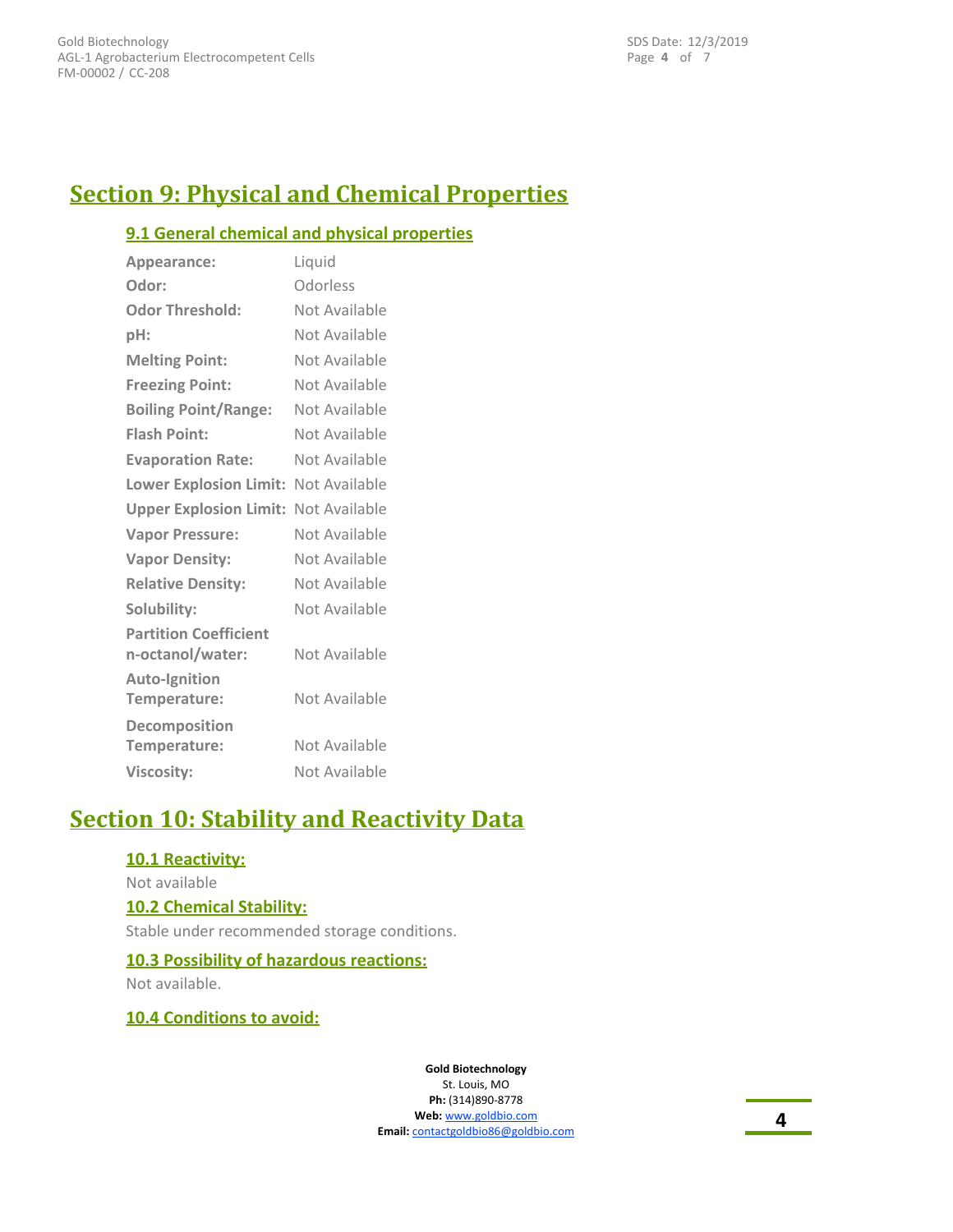Page **4** of 7 SDS Date: 12/3/2019

# **Section 9: Physical and Chemical Properties**

# **9.1 General chemical and physical properties**

| Appearance:                                      | Liquid        |
|--------------------------------------------------|---------------|
| Odor:                                            | Odorless      |
| <b>Odor Threshold:</b>                           | Not Available |
| pH:                                              | Not Available |
| <b>Melting Point:</b>                            | Not Available |
| <b>Freezing Point:</b>                           | Not Available |
| <b>Boiling Point/Range:</b>                      | Not Available |
| <b>Flash Point:</b>                              | Not Available |
| <b>Evaporation Rate:</b>                         | Not Available |
| Lower Explosion Limit: Not Available             |               |
| <b>Upper Explosion Limit: Not Available</b>      |               |
| <b>Vapor Pressure:</b>                           | Not Available |
| <b>Vapor Density:</b>                            | Not Available |
| <b>Relative Density:</b>                         | Not Available |
| Solubility:                                      | Not Available |
| <b>Partition Coefficient</b><br>n-octanol/water: | Not Available |
| <b>Auto-Ignition</b><br>Temperature:             | Not Available |
| Decomposition<br>Temperature:                    | Not Available |
| <b>Viscosity:</b>                                | Not Available |

# **Section 10: Stability and Reactivity Data**

### **10.1 Reactivity:**

#### Not available

### **10.2 Chemical Stability:**

Stable under recommended storage conditions.

### **10.3 Possibility of hazardous reactions:**

Not available.

### **10.4 Conditions to avoid:**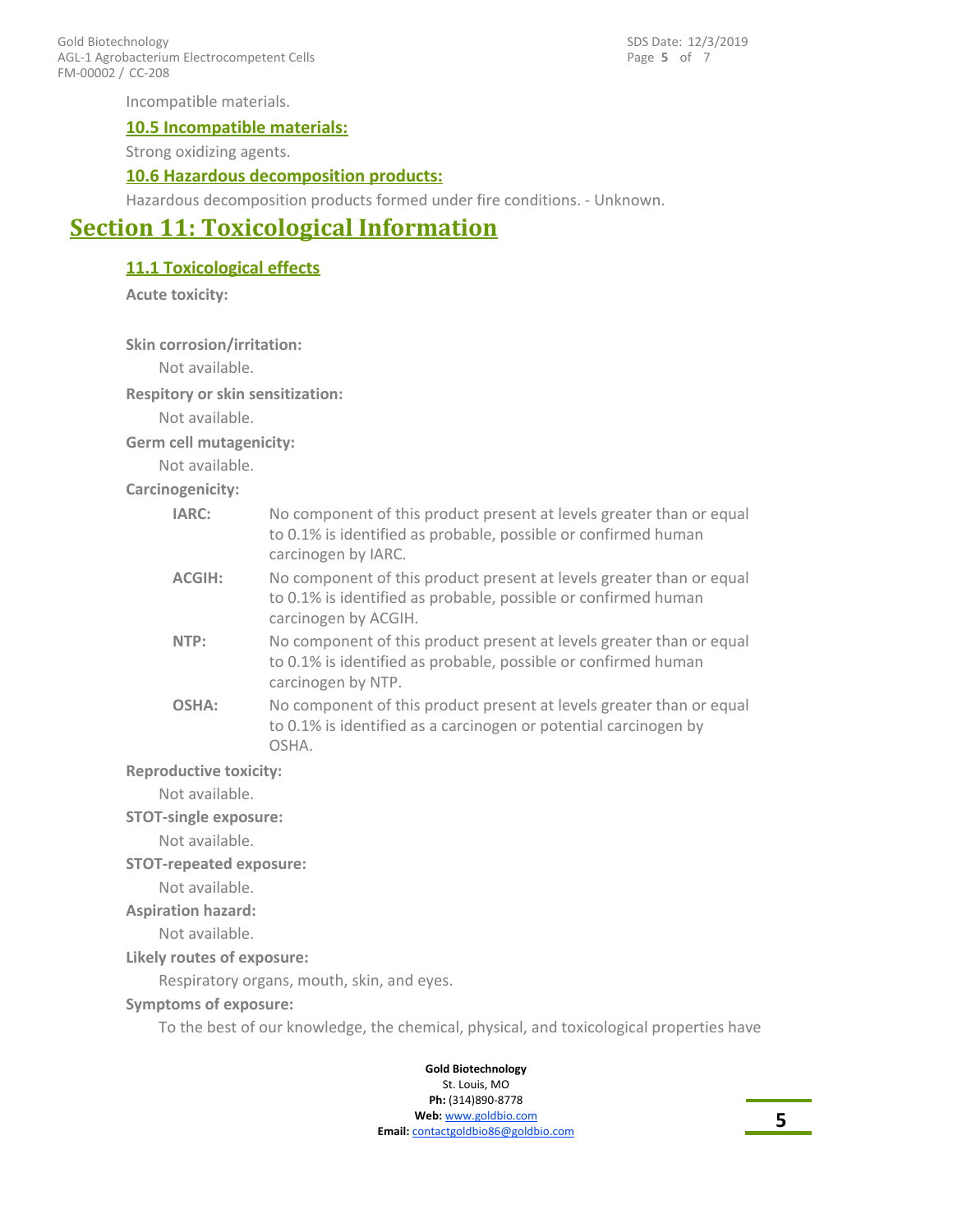FM-00002 / CC-208 Gold Biotechnology AGL-1 Agrobacterium Electrocompetent Cells Page **5** of 7 SDS Date: 12/3/2019

Incompatible materials.

#### **10.5 Incompatible materials:**

Strong oxidizing agents.

#### **10.6 Hazardous decomposition products:**

Hazardous decomposition products formed under fire conditions. - Unknown.

# **Section 11: Toxicological Information**

**11.1 Toxicological effects**

**Acute toxicity:**

**Skin corrosion/irritation:**

Not available.

**Respitory or skin sensitization:**

Not available.

**Germ cell mutagenicity:**

Not available.

**Carcinogenicity:**

| IARC:                         | No component of this product present at levels greater than or equal<br>to 0.1% is identified as probable, possible or confirmed human<br>carcinogen by IARC.  |  |
|-------------------------------|----------------------------------------------------------------------------------------------------------------------------------------------------------------|--|
| <b>ACGIH:</b>                 | No component of this product present at levels greater than or equal<br>to 0.1% is identified as probable, possible or confirmed human<br>carcinogen by ACGIH. |  |
| NTP:                          | No component of this product present at levels greater than or equal<br>to 0.1% is identified as probable, possible or confirmed human<br>carcinogen by NTP.   |  |
| OSHA:                         | No component of this product present at levels greater than or equal<br>to 0.1% is identified as a carcinogen or potential carcinogen by<br>OSHA.              |  |
| <b>Reproductive toxicity:</b> |                                                                                                                                                                |  |
| Not available                 |                                                                                                                                                                |  |

Not available.

**STOT-single exposure:**

Not available.

#### **STOT-repeated exposure:**

Not available.

#### **Aspiration hazard:**

Not available.

#### **Likely routes of exposure:**

Respiratory organs, mouth, skin, and eyes.

#### **Symptoms of exposure:**

To the best of our knowledge, the chemical, physical, and toxicological properties have

#### **Gold Biotechnology** St. Louis, MO

**Ph:** (314)890-8778 **Web:** www.goldbio.com

**Email:** contactgoldbio86@goldbio.com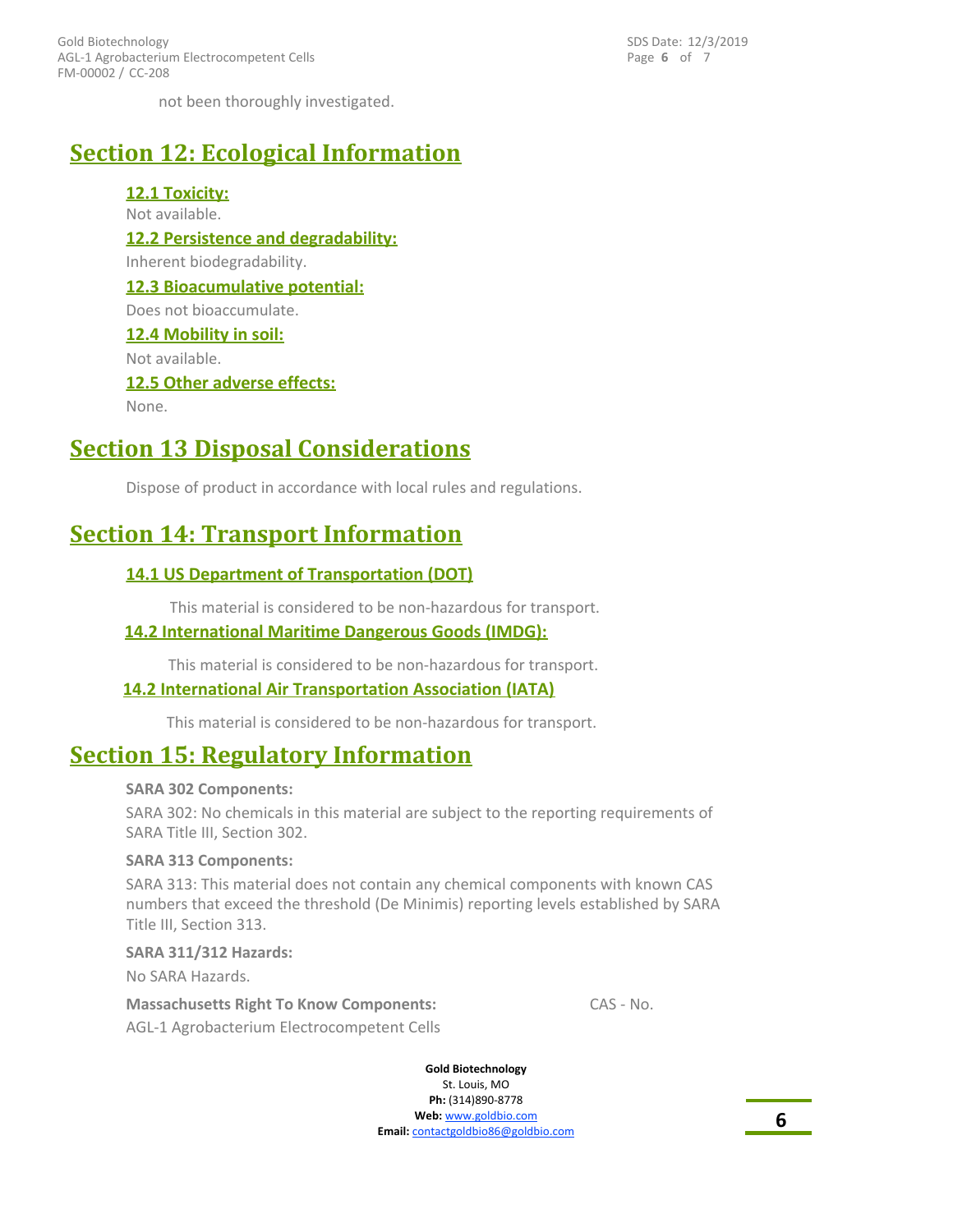FM-00002 / CC-208 Gold Biotechnology AGL-1 Agrobacterium Electrocompetent Cells Page **6** of 7 SDS Date: 12/3/2019

not been thoroughly investigated.

# **Section 12: Ecological Information**

**12.1 Toxicity:** Not available. **12.2 Persistence and degradability:** Inherent biodegradability. **12.3 Bioacumulative potential:** Does not bioaccumulate. **12.4 Mobility in soil:** Not available. **12.5 Other adverse effects:** None.

# **Section 13 Disposal Considerations**

Dispose of product in accordance with local rules and regulations.

# **Section 14: Transport Information**

### **14.1 US Department of Transportation (DOT)**

This material is considered to be non-hazardous for transport.

### **14.2 International Maritime Dangerous Goods (IMDG):**

This material is considered to be non-hazardous for transport.

### **14.2 International Air Transportation Association (IATA)**

This material is considered to be non-hazardous for transport.

# **Section 15: Regulatory Information**

#### **SARA 302 Components:**

SARA 302: No chemicals in this material are subject to the reporting requirements of SARA Title III, Section 302.

#### **SARA 313 Components:**

SARA 313: This material does not contain any chemical components with known CAS numbers that exceed the threshold (De Minimis) reporting levels established by SARA Title III, Section 313.

#### **SARA 311/312 Hazards:**

No SARA Hazards.

AGL-1 Agrobacterium Electrocompetent Cells **Massachusetts Right To Know Components:** CAS - No.

**Gold Biotechnology**